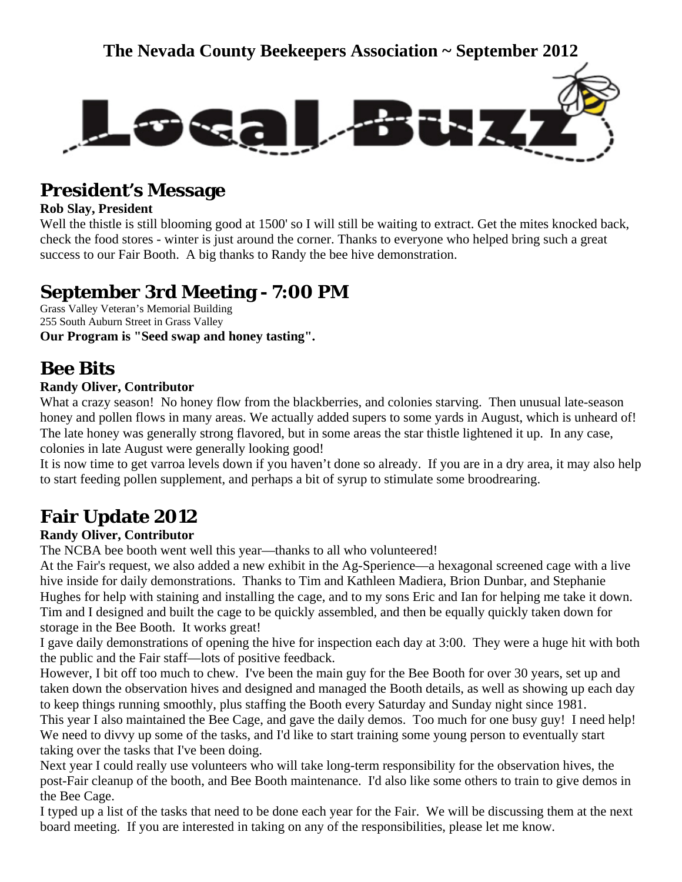

# **President's Message**

### **Rob Slay, President**

Well the thistle is still blooming good at 1500' so I will still be waiting to extract. Get the mites knocked back, check the food stores - winter is just around the corner. Thanks to everyone who helped bring such a great success to our Fair Booth. A big thanks to Randy the bee hive demonstration.

# **September 3rd Meeting - 7:00 PM**

Grass Valley Veteran's Memorial Building 255 South Auburn Street in Grass Valley **Our Program is "Seed swap and honey tasting".**

# **Bee Bits**

### **Randy Oliver, Contributor**

What a crazy season! No honey flow from the blackberries, and colonies starving. Then unusual late-season honey and pollen flows in many areas. We actually added supers to some yards in August, which is unheard of! The late honey was generally strong flavored, but in some areas the star thistle lightened it up. In any case, colonies in late August were generally looking good!

It is now time to get varroa levels down if you haven't done so already. If you are in a dry area, it may also help to start feeding pollen supplement, and perhaps a bit of syrup to stimulate some broodrearing.

# **Fair Update 2012**

### **Randy Oliver, Contributor**

The NCBA bee booth went well this year—thanks to all who volunteered!

At the Fair's request, we also added a new exhibit in the Ag-Sperience—a hexagonal screened cage with a live hive inside for daily demonstrations. Thanks to Tim and Kathleen Madiera, Brion Dunbar, and Stephanie Hughes for help with staining and installing the cage, and to my sons Eric and Ian for helping me take it down. Tim and I designed and built the cage to be quickly assembled, and then be equally quickly taken down for storage in the Bee Booth. It works great!

I gave daily demonstrations of opening the hive for inspection each day at 3:00. They were a huge hit with both the public and the Fair staff—lots of positive feedback.

However, I bit off too much to chew. I've been the main guy for the Bee Booth for over 30 years, set up and taken down the observation hives and designed and managed the Booth details, as well as showing up each day to keep things running smoothly, plus staffing the Booth every Saturday and Sunday night since 1981.

This year I also maintained the Bee Cage, and gave the daily demos. Too much for one busy guy! I need help! We need to divvy up some of the tasks, and I'd like to start training some young person to eventually start taking over the tasks that I've been doing.

Next year I could really use volunteers who will take long-term responsibility for the observation hives, the post-Fair cleanup of the booth, and Bee Booth maintenance. I'd also like some others to train to give demos in the Bee Cage.

I typed up a list of the tasks that need to be done each year for the Fair. We will be discussing them at the next board meeting. If you are interested in taking on any of the responsibilities, please let me know.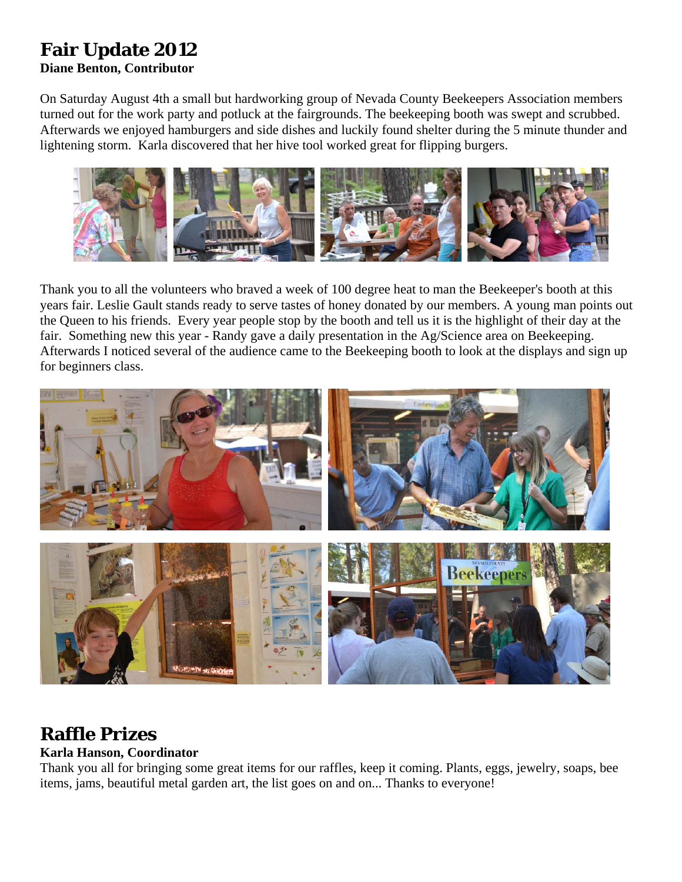# **Fair Update 2012**

### **Diane Benton, Contributor**

On Saturday August 4th a small but hardworking group of Nevada County Beekeepers Association members turned out for the work party and potluck at the fairgrounds. The beekeeping booth was swept and scrubbed. Afterwards we enjoyed hamburgers and side dishes and luckily found shelter during the 5 minute thunder and lightening storm. Karla discovered that her hive tool worked great for flipping burgers.



Thank you to all the volunteers who braved a week of 100 degree heat to man the Beekeeper's booth at this years fair. Leslie Gault stands ready to serve tastes of honey donated by our members. A young man points out the Queen to his friends. Every year people stop by the booth and tell us it is the highlight of their day at the fair. Something new this year - Randy gave a daily presentation in the Ag/Science area on Beekeeping. Afterwards I noticed several of the audience came to the Beekeeping booth to look at the displays and sign up for beginners class.



# **Raffle Prizes**

### **Karla Hanson, Coordinator**

Thank you all for bringing some great items for our raffles, keep it coming. Plants, eggs, jewelry, soaps, bee items, jams, beautiful metal garden art, the list goes on and on... Thanks to everyone!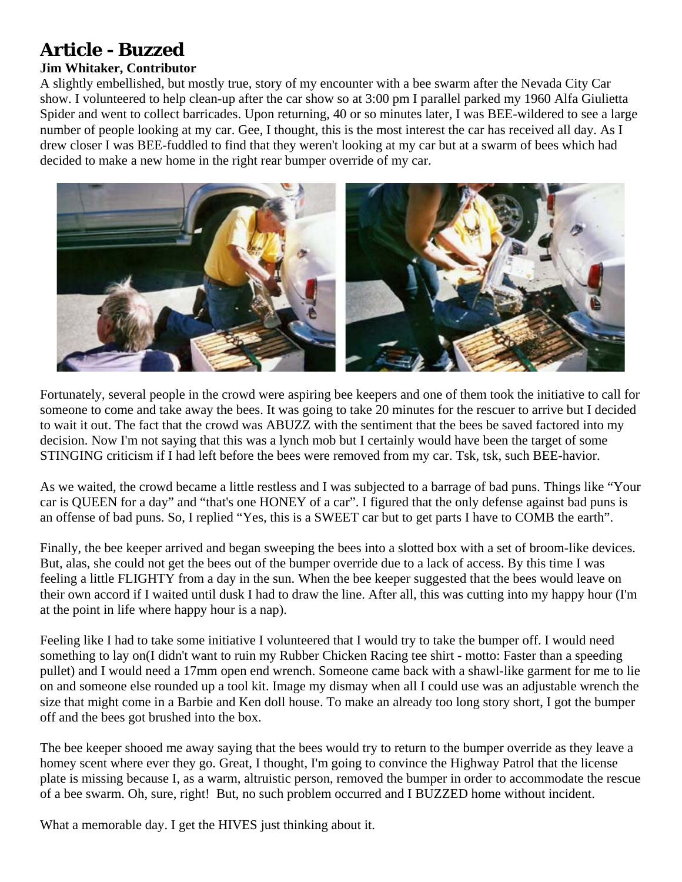# **Article - Buzzed**

### **Jim Whitaker, Contributor**

A slightly embellished, but mostly true, story of my encounter with a bee swarm after the Nevada City Car show. I volunteered to help clean-up after the car show so at 3:00 pm I parallel parked my 1960 Alfa Giulietta Spider and went to collect barricades. Upon returning, 40 or so minutes later, I was BEE-wildered to see a large number of people looking at my car. Gee, I thought, this is the most interest the car has received all day. As I drew closer I was BEE-fuddled to find that they weren't looking at my car but at a swarm of bees which had decided to make a new home in the right rear bumper override of my car.



Fortunately, several people in the crowd were aspiring bee keepers and one of them took the initiative to call for someone to come and take away the bees. It was going to take 20 minutes for the rescuer to arrive but I decided to wait it out. The fact that the crowd was ABUZZ with the sentiment that the bees be saved factored into my decision. Now I'm not saying that this was a lynch mob but I certainly would have been the target of some STINGING criticism if I had left before the bees were removed from my car. Tsk, tsk, such BEE-havior.

As we waited, the crowd became a little restless and I was subjected to a barrage of bad puns. Things like "Your car is QUEEN for a day" and "that's one HONEY of a car". I figured that the only defense against bad puns is an offense of bad puns. So, I replied "Yes, this is a SWEET car but to get parts I have to COMB the earth".

Finally, the bee keeper arrived and began sweeping the bees into a slotted box with a set of broom-like devices. But, alas, she could not get the bees out of the bumper override due to a lack of access. By this time I was feeling a little FLIGHTY from a day in the sun. When the bee keeper suggested that the bees would leave on their own accord if I waited until dusk I had to draw the line. After all, this was cutting into my happy hour (I'm at the point in life where happy hour is a nap).

Feeling like I had to take some initiative I volunteered that I would try to take the bumper off. I would need something to lay on(I didn't want to ruin my Rubber Chicken Racing tee shirt - motto: Faster than a speeding pullet) and I would need a 17mm open end wrench. Someone came back with a shawl-like garment for me to lie on and someone else rounded up a tool kit. Image my dismay when all I could use was an adjustable wrench the size that might come in a Barbie and Ken doll house. To make an already too long story short, I got the bumper off and the bees got brushed into the box.

The bee keeper shooed me away saying that the bees would try to return to the bumper override as they leave a homey scent where ever they go. Great, I thought, I'm going to convince the Highway Patrol that the license plate is missing because I, as a warm, altruistic person, removed the bumper in order to accommodate the rescue of a bee swarm. Oh, sure, right! But, no such problem occurred and I BUZZED home without incident.

What a memorable day. I get the HIVES just thinking about it.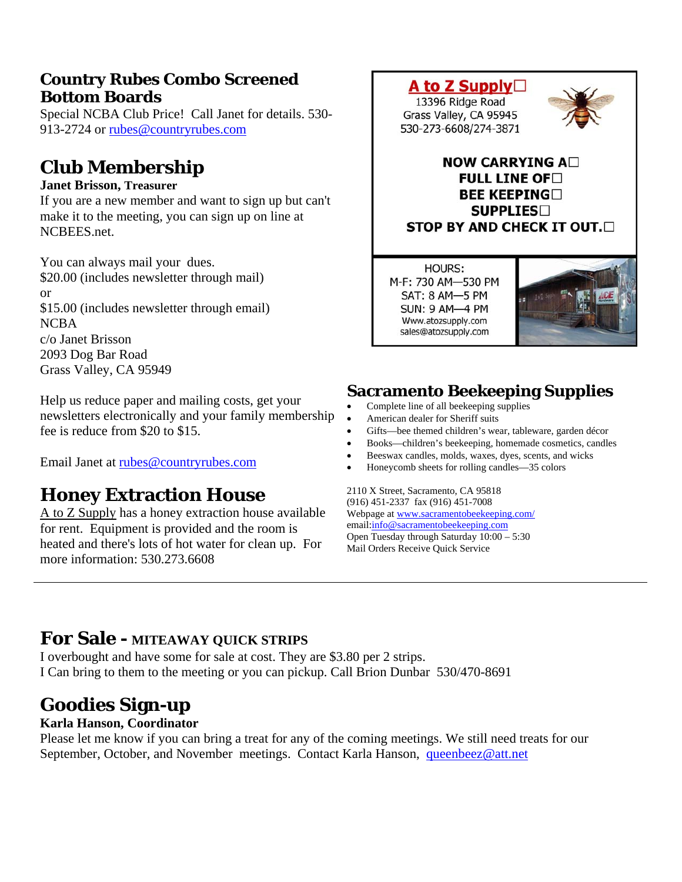## **Country Rubes Combo Screened Bottom Boards**

Special NCBA Club Price! Call Janet for details. 530- 913-2724 or [rubes@countryrubes.com](mailto:rubes@countryrubes.com)

# **Club Membership**

### **Janet Brisson, Treasurer**

If you are a new member and want to sign up but can't make it to the meeting, you can sign up on line at NCBEES.net.

You can always mail your dues. \$20.00 (includes newsletter through mail) or \$15.00 (includes newsletter through email) NCBA c/o Janet Brisson 2093 Dog Bar Road Grass Valley, CA 95949

Help us reduce paper and mailing costs, get your newsletters electronically and your family membership fee is reduce from \$20 to \$15.

Email Janet at [rubes@countryrubes.com](mailto:rubes@countryrubes.com)

# **Honey Extraction House**

A to Z Supply has a honey extraction house available for rent. Equipment is provided and the room is heated and there's lots of hot water for clean up. For more information: 530.273.6608



A to Z Supply□

**HOURS:** M-F: 730 AM-530 PM SAT: 8 AM-5 PM **SUN: 9 AM-4 PM** Www.atozsupply.com sales@atozsupply.com



## **Sacramento Beekeeping Supplies**

- Complete line of all beekeeping supplies
- American dealer for Sheriff suits
- Gifts—bee themed children's wear, tableware, garden décor
- Books—children's beekeeping, homemade cosmetics, candles
- Beeswax candles, molds, waxes, dyes, scents, and wicks
- Honeycomb sheets for rolling candles—35 colors

2110 X Street, Sacramento, CA 95818 (916) 451-2337 fax (916) 451-7008 Webpage at [www.sacramentobeekeeping.com/](http://www.sacramentobeekeeping.com/) email:[info@sacramentobeekeeping.com](mailto:%20info@sacramentobeekeeping.com) Open Tuesday through Saturday 10:00 – 5:30 Mail Orders Receive Quick Service

## **For Sale - MITEAWAY QUICK STRIPS**

I overbought and have some for sale at cost. They are \$3.80 per 2 strips. I Can bring to them to the meeting or you can pickup. Call Brion Dunbar 530/470-8691

# **Goodies Sign-up**

### **Karla Hanson, Coordinator**

Please let me know if you can bring a treat for any of the coming meetings. We still need treats for our September, October, and November meetings. Contact Karla Hanson, [queenbeez@att.net](mailto:queenbeez@att.net)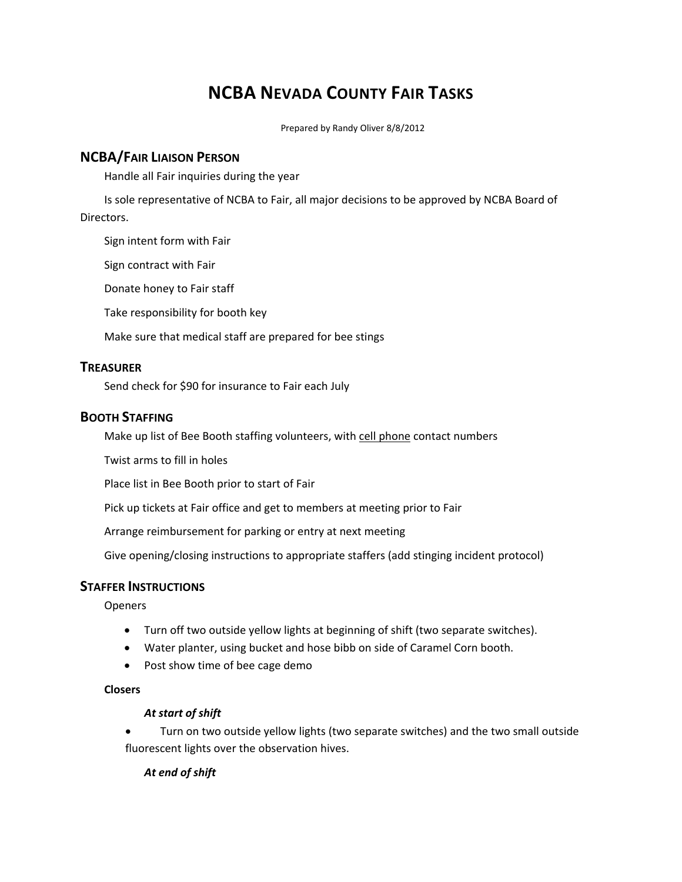## **NCBA NEVADA COUNTY FAIR TASKS**

Prepared by Randy Oliver 8/8/2012

#### **NCBA/FAIR LIAISON PERSON**

Handle all Fair inquiries during the year

Is sole representative of NCBA to Fair, all major decisions to be approved by NCBA Board of Directors.

Sign intent form with Fair

Sign contract with Fair

Donate honey to Fair staff

Take responsibility for booth key

Make sure that medical staff are prepared for bee stings

#### **TREASURER**

Send check for \$90 for insurance to Fair each July

#### **BOOTH STAFFING**

Make up list of Bee Booth staffing volunteers, with cell phone contact numbers

Twist arms to fill in holes

Place list in Bee Booth prior to start of Fair

Pick up tickets at Fair office and get to members at meeting prior to Fair

Arrange reimbursement for parking or entry at next meeting

Give opening/closing instructions to appropriate staffers (add stinging incident protocol)

### **STAFFER INSTRUCTIONS**

Openers

- Turn off two outside yellow lights at beginning of shift (two separate switches).
- Water planter, using bucket and hose bibb on side of Caramel Corn booth.
- Post show time of bee cage demo

#### **Closers**

#### *At start of shift*

 Turn on two outside yellow lights (two separate switches) and the two small outside fluorescent lights over the observation hives.

#### *At end of shift*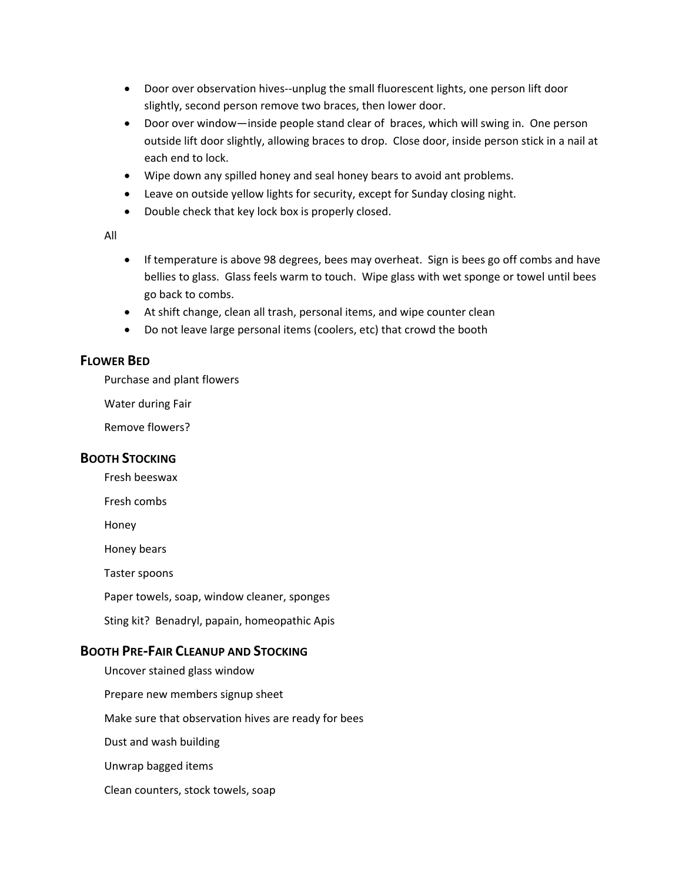- Door over observation hives--unplug the small fluorescent lights, one person lift door slightly, second person remove two braces, then lower door.
- Door over window—inside people stand clear of braces, which will swing in. One person outside lift door slightly, allowing braces to drop. Close door, inside person stick in a nail at each end to lock.
- Wipe down any spilled honey and seal honey bears to avoid ant problems.
- Leave on outside yellow lights for security, except for Sunday closing night.
- Double check that key lock box is properly closed.

All

- If temperature is above 98 degrees, bees may overheat. Sign is bees go off combs and have bellies to glass. Glass feels warm to touch. Wipe glass with wet sponge or towel until bees go back to combs.
- At shift change, clean all trash, personal items, and wipe counter clean
- Do not leave large personal items (coolers, etc) that crowd the booth

### **FLOWER BED**

Purchase and plant flowers

Water during Fair

Remove flowers?

### **BOOTH STOCKING**

Fresh beeswax

Fresh combs

Honey

Honey bears

Taster spoons

Paper towels, soap, window cleaner, sponges

Sting kit? Benadryl, papain, homeopathic Apis

### **BOOTH PRE‐FAIR CLEANUP AND STOCKING**

Uncover stained glass window Prepare new members signup sheet Make sure that observation hives are ready for bees Dust and wash building Unwrap bagged items Clean counters, stock towels, soap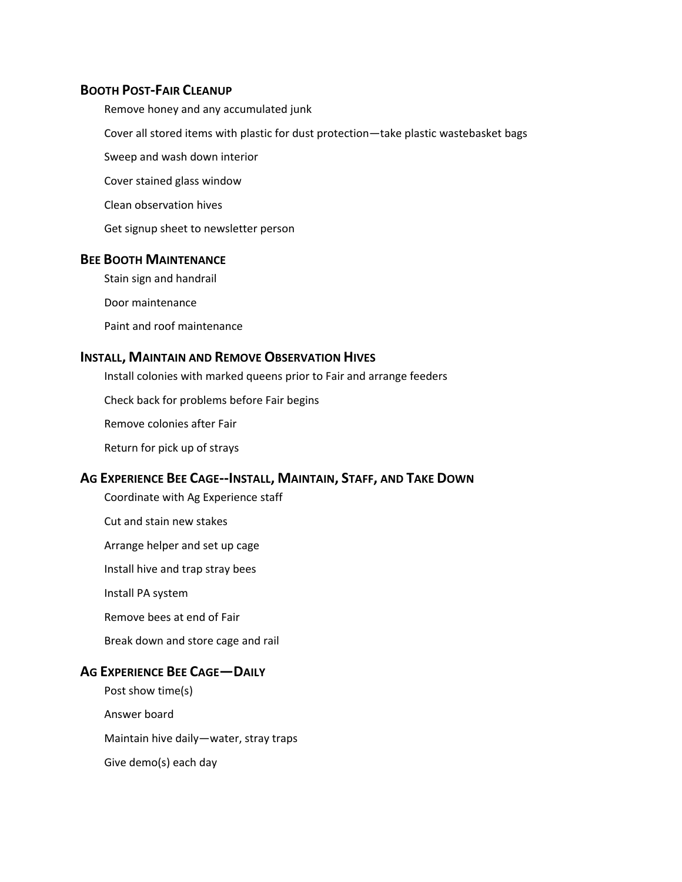#### **BOOTH POST‐FAIR CLEANUP**

Remove honey and any accumulated junk

Cover all stored items with plastic for dust protection—take plastic wastebasket bags

Sweep and wash down interior

Cover stained glass window

Clean observation hives

Get signup sheet to newsletter person

### **BEE BOOTH MAINTENANCE**

Stain sign and handrail

Door maintenance

Paint and roof maintenance

### **INSTALL, MAINTAIN AND REMOVE OBSERVATION HIVES**

Install colonies with marked queens prior to Fair and arrange feeders

Check back for problems before Fair begins

Remove colonies after Fair

Return for pick up of strays

#### **AG EXPERIENCE BEE CAGE‐‐INSTALL, MAINTAIN, STAFF, AND TAKE DOWN**

Coordinate with Ag Experience staff

Cut and stain new stakes

Arrange helper and set up cage

Install hive and trap stray bees

Install PA system

Remove bees at end of Fair

Break down and store cage and rail

#### **AG EXPERIENCE BEE CAGE—DAILY**

Post show time(s) Answer board Maintain hive daily—water, stray traps Give demo(s) each day